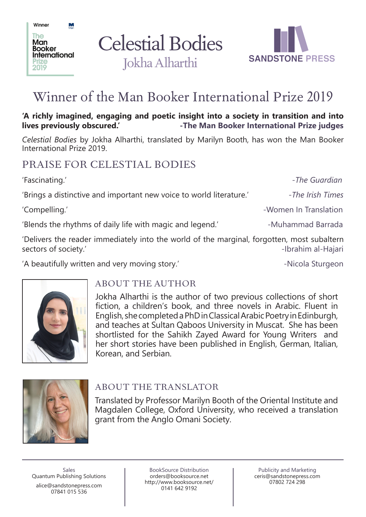Celestial Bodies Jokha Alharthi



# Winner of the Man Booker International Prize 2019

**'A richly imagined, engaging and poetic insight into a society in transition and into lives previously obscured.' -The Man Booker International Prize judges**

*Celestial Bodies* by Jokha Alharthi, translated by Marilyn Booth, has won the Man Booker International Prize 2019.

'Fascinating.' *and a contract of the Guardian*  $\overline{I}$  - *The Guardian* 

### PRAISE FOR CELESTIAL BODIES

'Brings a distinctive and important new voice to world literature.' - The Irish Times

'Compelling.' The Compelling.' Compelling.' Compelling.' The Compelling.' Compelling.' The Compelling of the Compelling of the Compelling of the Compelling of the Compelling of the Compelling of the Compelling of the Compe

Winner

The **Man Booker International** 

2019

 $M<sub>on</sub>$ 

'Blends the rhythms of daily life with magic and legend.' The sum all all all almost a larrada

'Delivers the reader immediately into the world of the marginal, forgotten, most subaltern sectors of society.' The sectors of society.' The sectors of society.'

'A beautifully written and very moving story.' The same areas with the second sturgeon



#### ABOUT THE AUTHOR

Jokha Alharthi is the author of two previous collections of short fiction, a children's book, and three novels in Arabic. Fluent in English, she completed a PhD in Classical Arabic Poetry in Edinburgh, and teaches at Sultan Qaboos University in Muscat. She has been shortlisted for the Sahikh Zayed Award for Young Writers and her short stories have been published in English, German, Italian, Korean, and Serbian.



#### ABOUT THE TRANSLATOR

Translated by Professor Marilyn Booth of the Oriental Institute and Magdalen College, Oxford University, who received a translation grant from the Anglo Omani Society.

Sales Quantum Publishing Solutions alice@sandstonepress.com 07841 015 536

BookSource Distribution orders@booksource.net http://www.booksource.net/ 0141 642 9192

Publicity and Marketing ceris@sandstonepress.com 07802 724 298